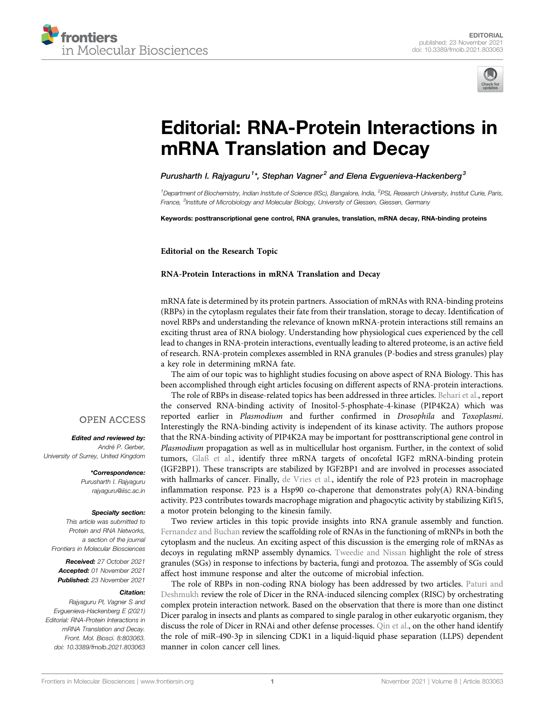



# [Editorial: RNA-Protein Interactions in](https://www.frontiersin.org/articles/10.3389/fmolb.2021.803063/full) [mRNA Translation and Decay](https://www.frontiersin.org/articles/10.3389/fmolb.2021.803063/full)

Purusharth I. Rajyaguru $^1{}^*$ , Stephan Vagner $^2$  and Elena Evguenieva-Hackenberg $^3$ 

<sup>1</sup> Department of Biochemistry, Indian Institute of Science (IISc), Bangalore, India, <sup>2</sup>PSL Research University, Institut Curie, Paris, France, <sup>3</sup>Institute of Microbiology and Molecular Biology, University of Giessen, Giessen, Germany

Keywords: posttranscriptional gene control, RNA granules, translation, mRNA decay, RNA-binding proteins

Editorial on the Research Topic

#### [RNA-Protein Interactions in mRNA Translation and Decay](https://www.frontiersin.org/researchtopic/13590)

mRNA fate is determined by its protein partners. Association of mRNAs with RNA-binding proteins (RBPs) in the cytoplasm regulates their fate from their translation, storage to decay. Identification of novel RBPs and understanding the relevance of known mRNA-protein interactions still remains an exciting thrust area of RNA biology. Understanding how physiological cues experienced by the cell lead to changes in RNA-protein interactions, eventually leading to altered proteome, is an active field of research. RNA-protein complexes assembled in RNA granules (P-bodies and stress granules) play a key role in determining mRNA fate.

The aim of our topic was to highlight studies focusing on above aspect of RNA Biology. This has been accomplished through eight articles focusing on different aspects of RNA-protein interactions.

The role of RBPs in disease-related topics has been addressed in three articles. [Behari et al.](https://doi.org/10.3389/fmolb.2021.631281), report the conserved RNA-binding activity of Inositol-5-phosphate-4-kinase (PIP4K2A) which was reported earlier in Plasmodium and further confirmed in Drosophila and Toxoplasmi. Interestingly the RNA-binding activity is independent of its kinase activity. The authors propose that the RNA-binding activity of PIP4K2A may be important for posttranscriptional gene control in Plasmodium propagation as well as in multicellular host organism. Further, in the context of solid tumors, [Glaß et al.,](https://doi.org/10.3389/fmolb.2021.632219) identify three mRNA targets of oncofetal IGF2 mRNA-binding protein (IGF2BP1). These transcripts are stabilized by IGF2BP1 and are involved in processes associated with hallmarks of cancer. Finally, [de Vries et al.,](https://doi.org/10.3389/fmolb.2021.625608) identify the role of P23 protein in macrophage inflammation response. P23 is a Hsp90 co-chaperone that demonstrates poly(A) RNA-binding activity. P23 contributes towards macrophage migration and phagocytic activity by stabilizing Kif15, a motor protein belonging to the kinesin family.

Two review articles in this topic provide insights into RNA granule assembly and function. [Fernandez and Buchan](https://doi.org/10.3389/fmolb.2021.634146) review the scaffolding role of RNAs in the functioning of mRNPs in both the cytoplasm and the nucleus. An exciting aspect of this discussion is the emerging role of mRNAs as decoys in regulating mRNP assembly dynamics. [Tweedie and Nissan](https://doi.org/10.3389/fmolb.2021.647884) highlight the role of stress granules (SGs) in response to infections by bacteria, fungi and protozoa. The assembly of SGs could affect host immune response and alter the outcome of microbial infection.

The role of RBPs in non-coding RNA biology has been addressed by two articles. [Paturi and](https://doi.org/10.3389/fmolb.2021.643657) [Deshmukh](https://doi.org/10.3389/fmolb.2021.643657) review the role of Dicer in the RNA-induced silencing complex (RISC) by orchestrating complex protein interaction network. Based on the observation that there is more than one distinct Dicer paralog in insects and plants as compared to single paralog in other eukaryotic organism, they discuss the role of Dicer in RNAi and other defense processes. [Qin et al.](https://doi.org/10.3389/fmolb.2021.561678), on the other hand identify the role of miR-490-3p in silencing CDK1 in a liquid-liquid phase separation (LLPS) dependent manner in colon cancer cell lines.

## **OPEN ACCESS**

Edited and reviewed by: André P. Gerber, University of Surrey, United Kingdom

> \*Correspondence: Purusharth I. Rajyaguru [rajyaguru@iisc.ac.in](mailto:rajyaguru@iisc.ac.in)

#### Specialty section:

This article was submitted to Protein and RNA Networks, a section of the journal Frontiers in Molecular Biosciences

Received: 27 October 2021 Accepted: 01 November 2021 Published: 23 November 2021

#### Citation:

Rajyaguru PI, Vagner S and Evguenieva-Hackenberg E (2021) Editorial: RNA-Protein Interactions in mRNA Translation and Decay. Front. Mol. Biosci. 8:803063. doi: [10.3389/fmolb.2021.803063](https://doi.org/10.3389/fmolb.2021.803063)